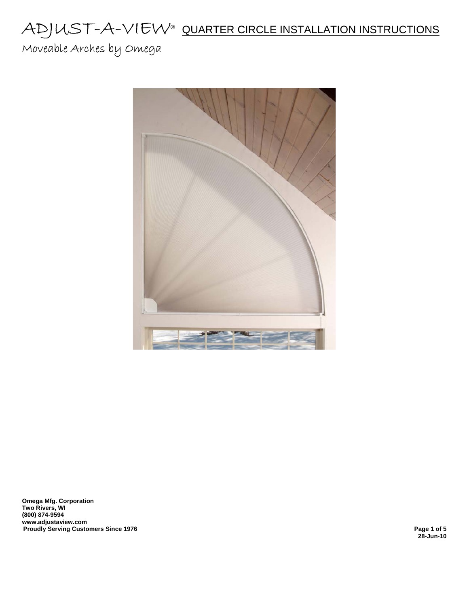Moveable Arches by Omega



**Omega Mfg. Corporation Two Rivers, WI (800) 874-9594 www.adjustaview.com Proudly Serving Customers Since 1976** 

**28-Jun-10**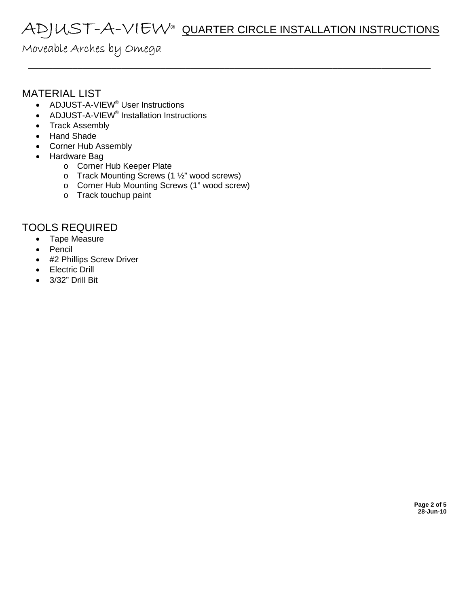\_\_\_\_\_\_\_\_\_\_\_\_\_\_\_\_\_\_\_\_\_\_\_\_\_\_\_\_\_\_\_\_\_\_\_\_\_\_\_\_\_\_\_\_\_\_\_\_\_\_\_\_\_\_\_\_\_\_\_\_\_\_\_\_\_\_\_\_\_\_\_\_\_\_\_\_\_\_\_\_\_\_

### Moveable Arches by Omega

### MATERIAL LIST

- ADJUST-A-VIEW<sup>®</sup> User Instructions
- ADJUST-A-VIEW<sup>®</sup> Installation Instructions
- Track Assembly
- Hand Shade
- Corner Hub Assembly
- Hardware Bag
	- o Corner Hub Keeper Plate
	- o Track Mounting Screws (1 ½" wood screws)
	- o Corner Hub Mounting Screws (1" wood screw)
	- o Track touchup paint

### TOOLS REQUIRED

- Tape Measure
- Pencil
- #2 Phillips Screw Driver
- Electric Drill
- 3/32" Drill Bit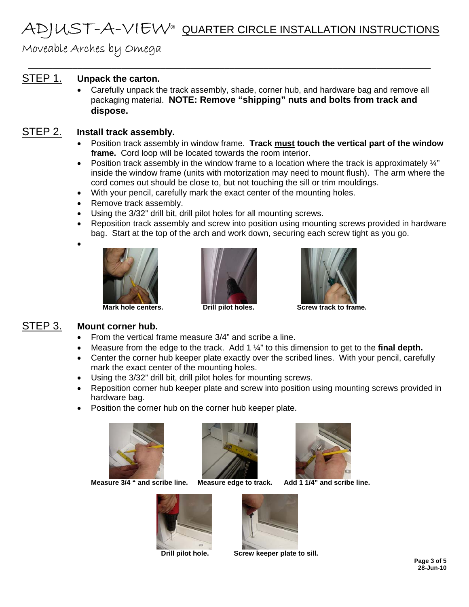\_\_\_\_\_\_\_\_\_\_\_\_\_\_\_\_\_\_\_\_\_\_\_\_\_\_\_\_\_\_\_\_\_\_\_\_\_\_\_\_\_\_\_\_\_\_\_\_\_\_\_\_\_\_\_\_\_\_\_\_\_\_\_\_\_\_\_\_\_\_\_\_\_\_\_\_\_\_\_\_\_\_

Moveable Arches by Omega

### STEP 1. **Unpack the carton.**

• Carefully unpack the track assembly, shade, corner hub, and hardware bag and remove all packaging material. **NOTE: Remove "shipping" nuts and bolts from track and dispose.**

#### STEP 2. **Install track assembly.**

- Position track assembly in window frame. **Track must touch the vertical part of the window frame.** Cord loop will be located towards the room interior.
- Position track assembly in the window frame to a location where the track is approximately  $\frac{1}{4}$ " inside the window frame (units with motorization may need to mount flush). The arm where the cord comes out should be close to, but not touching the sill or trim mouldings.
- With your pencil, carefully mark the exact center of the mounting holes.
- Remove track assembly.
- Using the 3/32" drill bit, drill pilot holes for all mounting screws.
- Reposition track assembly and screw into position using mounting screws provided in hardware bag. Start at the top of the arch and work down, securing each screw tight as you go.







**Mark hole centers. Drill pilot holes. Screw track to frame.** 

### STEP 3. **Mount corner hub.**

•

- From the vertical frame measure 3/4" and scribe a line.
- Measure from the edge to the track. Add 1 ¼" to this dimension to get to the **final depth.**
- Center the corner hub keeper plate exactly over the scribed lines. With your pencil, carefully mark the exact center of the mounting holes.
- Using the 3/32" drill bit, drill pilot holes for mounting screws.
- Reposition corner hub keeper plate and screw into position using mounting screws provided in hardware bag.
- Position the corner hub on the corner hub keeper plate.



 **Measure 3/4 " and scribe line. Measure edge to track. Add 1 1/4" and scribe line.** 











 **Drill pilot hole. Screw keeper plate to sill.**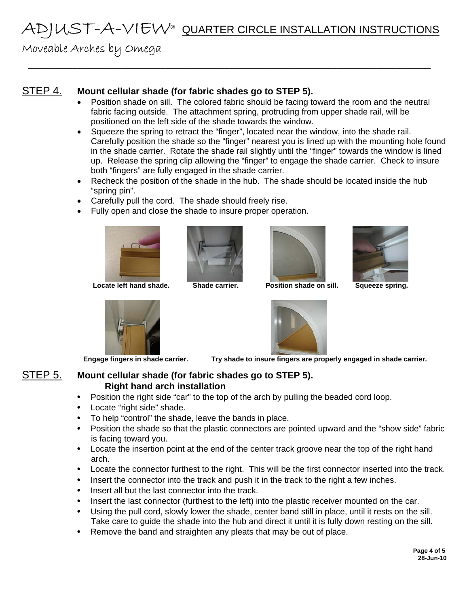\_\_\_\_\_\_\_\_\_\_\_\_\_\_\_\_\_\_\_\_\_\_\_\_\_\_\_\_\_\_\_\_\_\_\_\_\_\_\_\_\_\_\_\_\_\_\_\_\_\_\_\_\_\_\_\_\_\_\_\_\_\_\_\_\_\_\_\_\_\_\_\_\_\_\_\_\_\_\_\_\_\_

## Moveable Arches by Omega

#### STEP 4. **Mount cellular shade (for fabric shades go to STEP 5).**

- Position shade on sill. The colored fabric should be facing toward the room and the neutral fabric facing outside. The attachment spring, protruding from upper shade rail, will be positioned on the left side of the shade towards the window.
- Squeeze the spring to retract the "finger", located near the window, into the shade rail. Carefully position the shade so the "finger" nearest you is lined up with the mounting hole found in the shade carrier. Rotate the shade rail slightly until the "finger" towards the window is lined up. Release the spring clip allowing the "finger" to engage the shade carrier. Check to insure both "fingers" are fully engaged in the shade carrier.
- Recheck the position of the shade in the hub. The shade should be located inside the hub "spring pin".
- Carefully pull the cord. The shade should freely rise.
- Fully open and close the shade to insure proper operation.



Locate left hand shade. **Shade carrier.** Position shade on sill. Squeeze spring.









 **Engage fingers in shade carrier. Try shade to insure fingers are properly engaged in shade carrier.** 

#### STEP 5. **Mount cellular shade (for fabric shades go to STEP 5). Right hand arch installation**

- Position the right side "car" to the top of the arch by pulling the beaded cord loop.
- Locate "right side" shade.
- To help "control" the shade, leave the bands in place.
- Position the shade so that the plastic connectors are pointed upward and the "show side" fabric is facing toward you.
- Locate the insertion point at the end of the center track groove near the top of the right hand arch.
- Locate the connector furthest to the right. This will be the first connector inserted into the track.
- Insert the connector into the track and push it in the track to the right a few inches.
- Insert all but the last connector into the track.
- Insert the last connector (furthest to the left) into the plastic receiver mounted on the car.
- Using the pull cord, slowly lower the shade, center band still in place, until it rests on the sill. Take care to guide the shade into the hub and direct it until it is fully down resting on the sill.
- Remove the band and straighten any pleats that may be out of place.